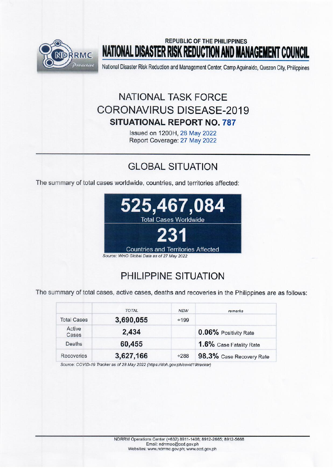

## **REPUBLIC OF THE PHILIPPINES** NATIONAL DISASTER RISK REDUCTION AND MANAGEMENT COUNCIL

National Disaster Risk Reduction and Management Center, Camp Aguinaldo, Quezon City, Philippines

# NATIONAL TASK FORCE **CORONAVIRUS DISEASE-2019 SITUATIONAL REPORT NO. 787**

Issued on 1200H, 28 May 2022 Report Coverage: 27 May 2022

# **GLOBAL SITUATION**

The summary of total cases worldwide, countries, and territories affected:



# PHILIPPINE SITUATION

The summary of total cases, active cases, deaths and recoveries in the Philippines are as follows:

|                    | <b>TOTAL</b> | <b>NEW</b> | remarks                  |
|--------------------|--------------|------------|--------------------------|
| <b>Total Cases</b> | 3,690,055    | $+199$     |                          |
| Active<br>Cases    | 2,434        |            | 0.06% Positivity Rate    |
| Deaths             | 60,455       |            | 1.6% Case Fatality Rate  |
| Recoveries         | 3,627,166    | $+288$     | 98.3% Case Recovery Rate |

Source: COVID-19 Tracker as of 28 May 2022 (https://doh.gov.ph/covid19tracker)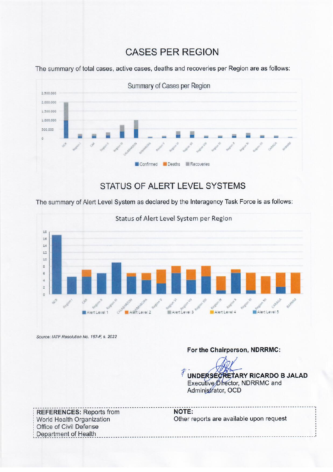## **CASES PER REGION**



The summary of total cases, active cases, deaths and recoveries per Region are as follows:

The summary of Alert Level System as declared by the Interagency Task Force is as follows:



Source: IATF Resolution No. 167-F, s. 2022

### For the Chairperson, NDRRMC:

TUNDERSECRETARY RICARDO B JALAD Executive Director, NDRRMC and Administrator, OCD

**REFERENCES: Reports from** World Health Organization Office of Civil Defense Department of Health

NOTE: Other reports are available upon request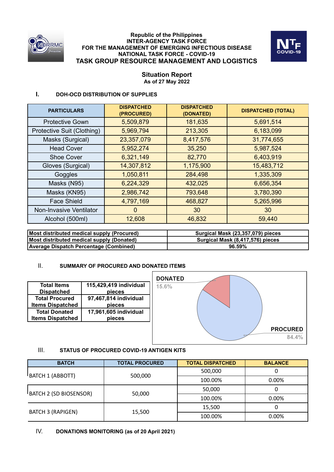

#### **Republic of the Philippines INTER-AGENCY TASK FORCE FOR THE MANAGEMENT OF EMERGING INFECTIOUS DISEASE NATIONAL TASK FORCE - COVID-19 TASK GROUP RESOURCE MANAGEMENT AND LOGISTICS**



### **Situation Report As of 27 May 2022**

### **I. DOH-OCD DISTRIBUTION OF SUPPLIES**

| <b>DISPATCHED</b><br>(PROCURED) | <b>DISPATCHED</b><br>(DONATED) | <b>DISPATCHED (TOTAL)</b> |
|---------------------------------|--------------------------------|---------------------------|
| 5,509,879                       | 181,635                        | 5,691,514                 |
| 5,969,794                       | 213,305                        | 6,183,099                 |
| 23,357,079                      | 8,417,576                      | 31,774,655                |
| 5,952,274                       | 35,250                         | 5,987,524                 |
| 6,321,149                       | 82,770                         | 6,403,919                 |
| 14,307,812                      | 1,175,900                      | 15,483,712                |
| 1,050,811                       | 284,498                        | 1,335,309                 |
| 6,224,329                       | 432,025                        | 6,656,354                 |
| 2,986,742                       | 793,648                        | 3,780,390                 |
| 4,797,169                       | 468,827                        | 5,265,996                 |
| 0                               | 30                             | 30                        |
| 12,608                          | 46,832                         | 59,440                    |
|                                 |                                |                           |

| Most distributed medical supply (Procured) | Surgical Mask (23,357,079) pieces |
|--------------------------------------------|-----------------------------------|
| Most distributed medical supply (Donated)  | Surgical Mask (8,417,576) pieces  |
| Average Dispatch Percentage (Combined)     | 96.59%                            |

### II. **SUMMARY OF PROCURED AND DONATED ITEMS**



### III. **STATUS OF PROCURED COVID-19 ANTIGEN KITS**

| <b>BATCH</b>             | <b>TOTAL PROCURED</b> | <b>TOTAL DISPATCHED</b> | <b>BALANCE</b> |
|--------------------------|-----------------------|-------------------------|----------------|
| BATCH 1 (ABBOTT)         | 500,000               | 500,000                 | U              |
|                          |                       | 100.00%                 | $0.00\%$       |
|                          |                       | 50,000                  | O              |
| BATCH 2 (SD BIOSENSOR)   | 50,000                | 100.00%                 | 0.00%          |
|                          |                       | 15,500<br>0             |                |
| <b>BATCH 3 (RAPIGEN)</b> | 15,500                | 100.00%                 | 0.00%          |

### IV. **DONATIONS MONITORING (as of 20 April 2021)**